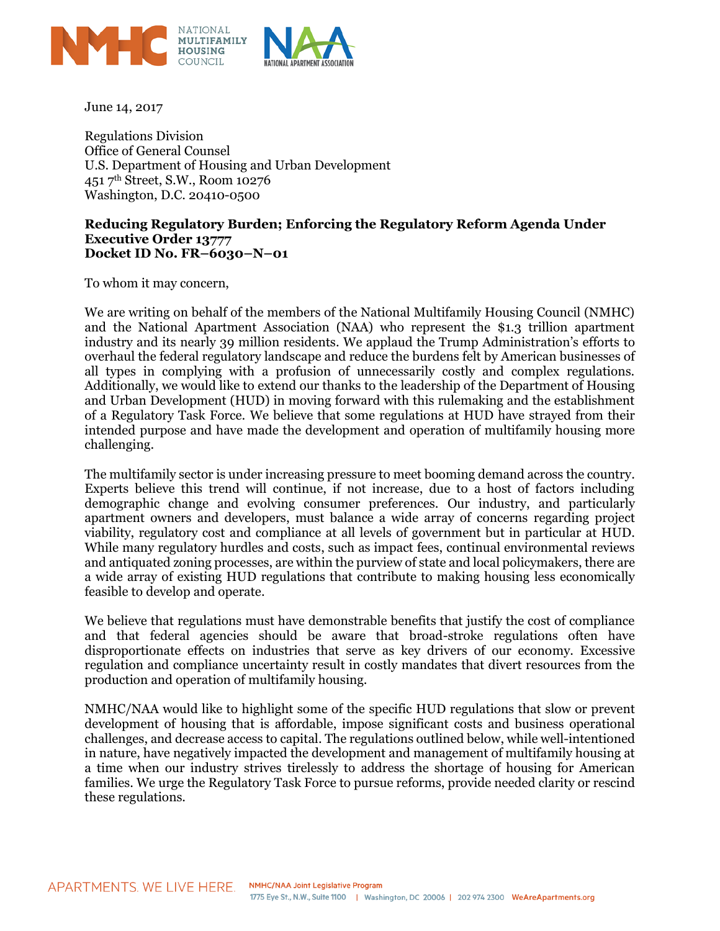

June 14, 2017

Regulations Division Office of General Counsel U.S. Department of Housing and Urban Development 451 7th Street, S.W., Room 10276 Washington, D.C. 20410-0500

## **Reducing Regulatory Burden; Enforcing the Regulatory Reform Agenda Under Executive Order 13777 Docket ID No. FR–6030–N–01**

To whom it may concern,

We are writing on behalf of the members of the National Multifamily Housing Council (NMHC) and the National Apartment Association (NAA) who represent the \$1.3 trillion apartment industry and its nearly 39 million residents. We applaud the Trump Administration's efforts to overhaul the federal regulatory landscape and reduce the burdens felt by American businesses of all types in complying with a profusion of unnecessarily costly and complex regulations. Additionally, we would like to extend our thanks to the leadership of the Department of Housing and Urban Development (HUD) in moving forward with this rulemaking and the establishment of a Regulatory Task Force. We believe that some regulations at HUD have strayed from their intended purpose and have made the development and operation of multifamily housing more challenging.

The multifamily sector is under increasing pressure to meet booming demand across the country. Experts believe this trend will continue, if not increase, due to a host of factors including demographic change and evolving consumer preferences. Our industry, and particularly apartment owners and developers, must balance a wide array of concerns regarding project viability, regulatory cost and compliance at all levels of government but in particular at HUD. While many regulatory hurdles and costs, such as impact fees, continual environmental reviews and antiquated zoning processes, are within the purview of state and local policymakers, there are a wide array of existing HUD regulations that contribute to making housing less economically feasible to develop and operate.

We believe that regulations must have demonstrable benefits that justify the cost of compliance and that federal agencies should be aware that broad-stroke regulations often have disproportionate effects on industries that serve as key drivers of our economy. Excessive regulation and compliance uncertainty result in costly mandates that divert resources from the production and operation of multifamily housing.

NMHC/NAA would like to highlight some of the specific HUD regulations that slow or prevent development of housing that is affordable, impose significant costs and business operational challenges, and decrease access to capital. The regulations outlined below, while well-intentioned in nature, have negatively impacted the development and management of multifamily housing at a time when our industry strives tirelessly to address the shortage of housing for American families. We urge the Regulatory Task Force to pursue reforms, provide needed clarity or rescind these regulations.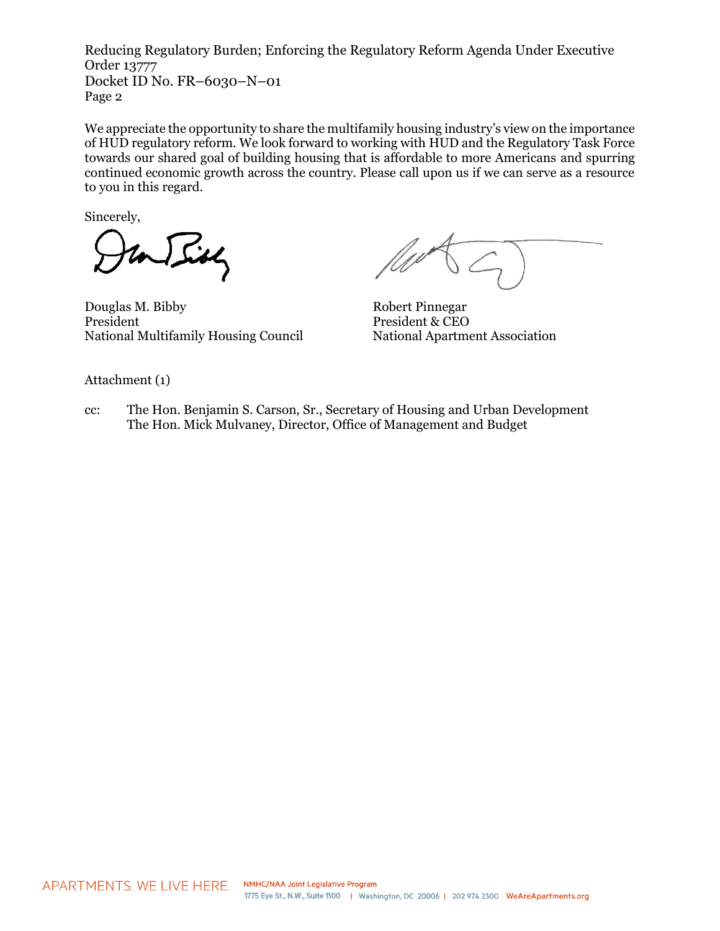We appreciate the opportunity to share the multifamily housing industry's view on the importance of HUD regulatory reform. We look forward to working with HUD and the Regulatory Task Force towards our shared goal of building housing that is affordable to more Americans and spurring continued economic growth across the country. Please call upon us if we can serve as a resource to you in this regard.

Sincerely,

 $J$  sidly

Douglas M. Bibby Robert Pinnegar President President & CEO National Multifamily Housing Council National Apartment Association

Attachment (1)

cc: The Hon. Benjamin S. Carson, Sr., Secretary of Housing and Urban Development The Hon. Mick Mulvaney, Director, Office of Management and Budget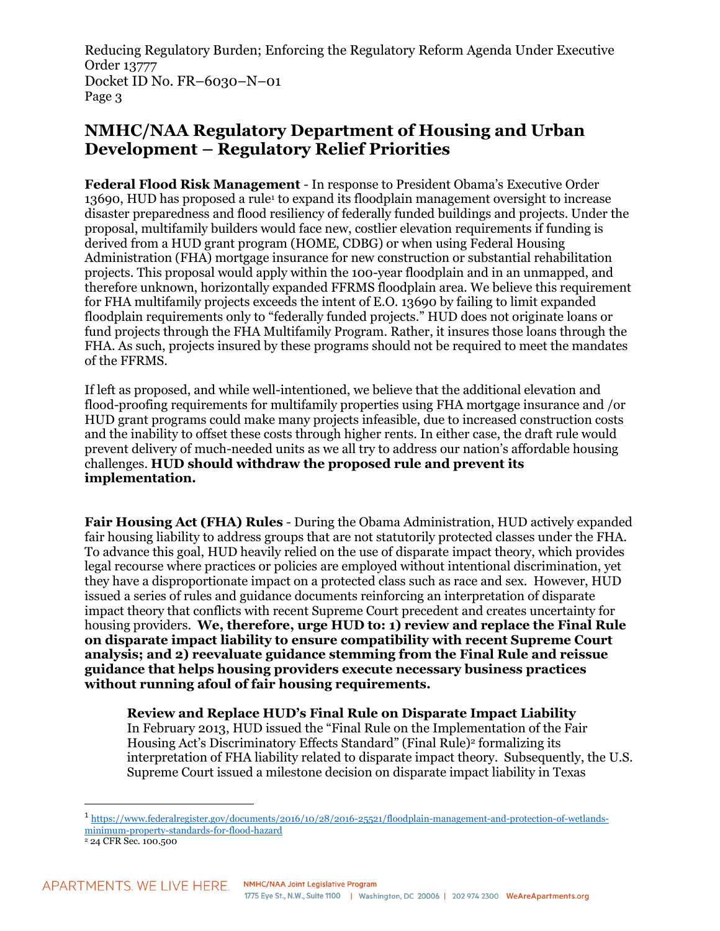## **NMHC/NAA Regulatory Department of Housing and Urban Development – Regulatory Relief Priorities**

**Federal Flood Risk Management** - In response to President Obama's Executive Order 13690, HUD has proposed a rule<sup>1</sup> to expand its floodplain management oversight to increase disaster preparedness and flood resiliency of federally funded buildings and projects. Under the proposal, multifamily builders would face new, costlier elevation requirements if funding is derived from a HUD grant program (HOME, CDBG) or when using Federal Housing Administration (FHA) mortgage insurance for new construction or substantial rehabilitation projects. This proposal would apply within the 100-year floodplain and in an unmapped, and therefore unknown, horizontally expanded FFRMS floodplain area. We believe this requirement for FHA multifamily projects exceeds the intent of E.O. 13690 by failing to limit expanded floodplain requirements only to "federally funded projects." HUD does not originate loans or fund projects through the FHA Multifamily Program. Rather, it insures those loans through the FHA. As such, projects insured by these programs should not be required to meet the mandates of the FFRMS.

If left as proposed, and while well-intentioned, we believe that the additional elevation and flood-proofing requirements for multifamily properties using FHA mortgage insurance and /or HUD grant programs could make many projects infeasible, due to increased construction costs and the inability to offset these costs through higher rents. In either case, the draft rule would prevent delivery of much-needed units as we all try to address our nation's affordable housing challenges. **HUD should withdraw the proposed rule and prevent its implementation.**

**Fair Housing Act (FHA) Rules** - During the Obama Administration, HUD actively expanded fair housing liability to address groups that are not statutorily protected classes under the FHA. To advance this goal, HUD heavily relied on the use of disparate impact theory, which provides legal recourse where practices or policies are employed without intentional discrimination, yet they have a disproportionate impact on a protected class such as race and sex. However, HUD issued a series of rules and guidance documents reinforcing an interpretation of disparate impact theory that conflicts with recent Supreme Court precedent and creates uncertainty for housing providers. **We, therefore, urge HUD to: 1) review and replace the Final Rule on disparate impact liability to ensure compatibility with recent Supreme Court analysis; and 2) reevaluate guidance stemming from the Final Rule and reissue guidance that helps housing providers execute necessary business practices without running afoul of fair housing requirements.**

## **Review and Replace HUD's Final Rule on Disparate Impact Liability**

In February 2013, HUD issued the "Final Rule on the Implementation of the Fair Housing Act's Discriminatory Effects Standard" (Final Rule)<sup>2</sup> formalizing its interpretation of FHA liability related to disparate impact theory. Subsequently, the U.S. Supreme Court issued a milestone decision on disparate impact liability in Texas

<sup>1</sup> [https://www.federalregister.gov/documents/2016/10/28/2016-25521/floodplain-management-and-protection-of-wetlands](https://www.federalregister.gov/documents/2016/10/28/2016-25521/floodplain-management-and-protection-of-wetlands-minimum-property-standards-for-flood-hazard)[minimum-property-standards-for-flood-hazard](https://www.federalregister.gov/documents/2016/10/28/2016-25521/floodplain-management-and-protection-of-wetlands-minimum-property-standards-for-flood-hazard)

<sup>2</sup> 24 CFR Sec. 100.500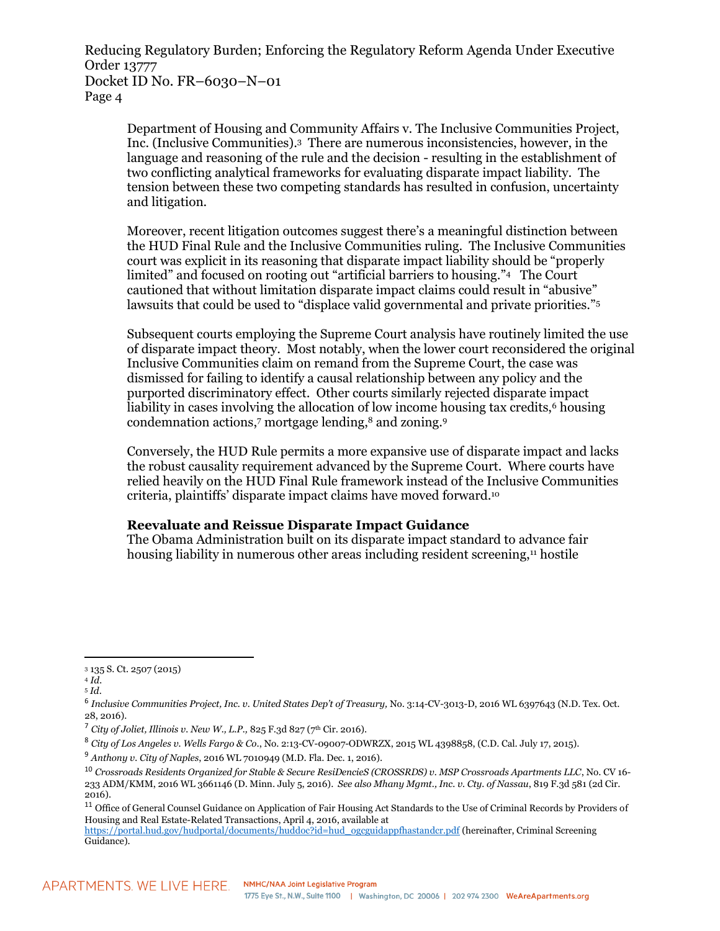Department of Housing and Community Affairs v. The Inclusive Communities Project, Inc. (Inclusive Communities).<sup>3</sup> There are numerous inconsistencies, however, in the language and reasoning of the rule and the decision - resulting in the establishment of two conflicting analytical frameworks for evaluating disparate impact liability. The tension between these two competing standards has resulted in confusion, uncertainty and litigation.

Moreover, recent litigation outcomes suggest there's a meaningful distinction between the HUD Final Rule and the Inclusive Communities ruling. The Inclusive Communities court was explicit in its reasoning that disparate impact liability should be "properly limited" and focused on rooting out "artificial barriers to housing."<sup>4</sup> The Court cautioned that without limitation disparate impact claims could result in "abusive" lawsuits that could be used to "displace valid governmental and private priorities."<sup>5</sup>

Subsequent courts employing the Supreme Court analysis have routinely limited the use of disparate impact theory. Most notably, when the lower court reconsidered the original Inclusive Communities claim on remand from the Supreme Court, the case was dismissed for failing to identify a causal relationship between any policy and the purported discriminatory effect. Other courts similarly rejected disparate impact liability in cases involving the allocation of low income housing tax credits,<sup>6</sup> housing condemnation actions,<sup>7</sup> mortgage lending,<sup>8</sup> and zoning.<sup>9</sup>

Conversely, the HUD Rule permits a more expansive use of disparate impact and lacks the robust causality requirement advanced by the Supreme Court. Where courts have relied heavily on the HUD Final Rule framework instead of the Inclusive Communities criteria, plaintiffs' disparate impact claims have moved forward.<sup>10</sup>

## **Reevaluate and Reissue Disparate Impact Guidance**

The Obama Administration built on its disparate impact standard to advance fair housing liability in numerous other areas including resident screening,<sup>11</sup> hostile

<sup>3</sup> 135 S. Ct. 2507 (2015)

<sup>4</sup> *Id.* <sup>5</sup> *Id*.

<sup>6</sup> *Inclusive Communities Project, Inc. v. United States Dep't of Treasury,* No. 3:14-CV-3013-D, 2016 WL 6397643 (N.D. Tex. Oct. 28, 2016).

<sup>&</sup>lt;sup>7</sup> City of Joliet, Illinois v. New W., L.P., 825 F.3d 827 (7<sup>th</sup> Cir. 2016).

<sup>8</sup> *City of Los Angeles v. Wells Fargo & Co*., No. 2:13-CV-09007-ODWRZX, 2015 WL 4398858, (C.D. Cal. July 17, 2015).

<sup>9</sup> *Anthony v. City of Naples*, 2016 WL 7010949 (M.D. Fla. Dec. 1, 2016).

<sup>10</sup> *Crossroads Residents Organized for Stable & Secure ResiDencieS (CROSSRDS) v. MSP Crossroads Apartments LLC*, No. CV 16- 233 ADM/KMM, 2016 WL 3661146 (D. Minn. July 5, 2016). *See also Mhany Mgmt., Inc. v. Cty. of Nassau*, 819 F.3d 581 (2d Cir. 2016).

<sup>&</sup>lt;sup>11</sup> Office of General Counsel Guidance on Application of Fair Housing Act Standards to the Use of Criminal Records by Providers of Housing and Real Estate-Related Transactions, April 4, 2016, available at

[https://portal.hud.gov/hudportal/documents/huddoc?id=hud\\_ogcguidappfhastandcr.pdf](https://portal.hud.gov/hudportal/documents/huddoc?id=hud_ogcguidappfhastandcr.pdf) (hereinafter, Criminal Screening Guidance).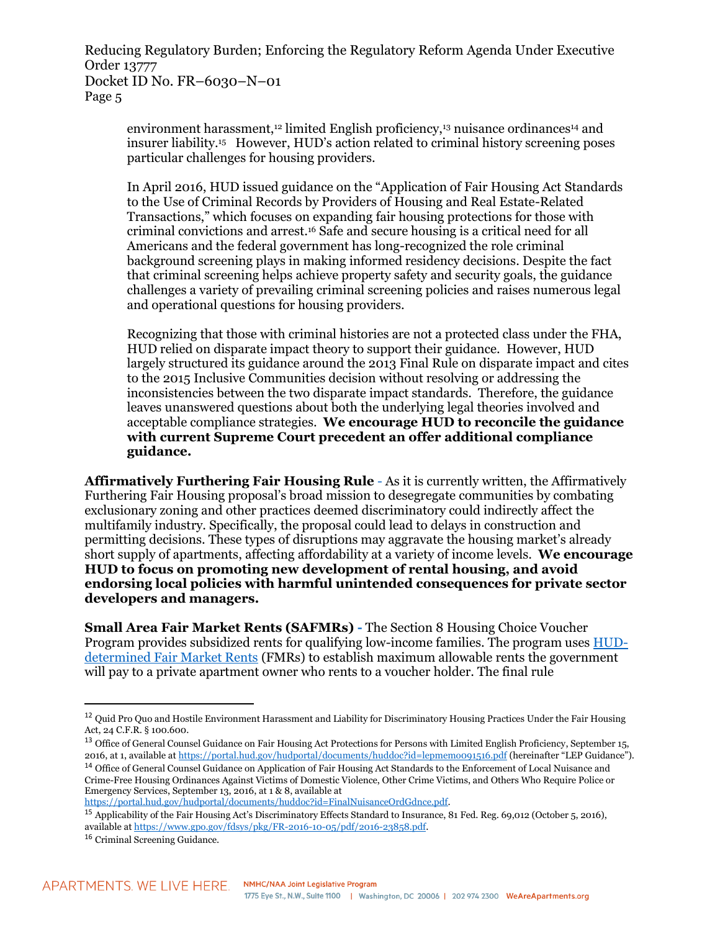environment harassment,<sup>12</sup> limited English proficiency,<sup>13</sup> nuisance ordinances<sup>14</sup> and insurer liability.<sup>15</sup> However, HUD's action related to criminal history screening poses particular challenges for housing providers.

In April 2016, HUD issued guidance on the "Application of Fair Housing Act Standards to the Use of Criminal Records by Providers of Housing and Real Estate-Related Transactions," which focuses on expanding fair housing protections for those with criminal convictions and arrest.<sup>16</sup> Safe and secure housing is a critical need for all Americans and the federal government has long-recognized the role criminal background screening plays in making informed residency decisions. Despite the fact that criminal screening helps achieve property safety and security goals, the guidance challenges a variety of prevailing criminal screening policies and raises numerous legal and operational questions for housing providers.

Recognizing that those with criminal histories are not a protected class under the FHA, HUD relied on disparate impact theory to support their guidance. However, HUD largely structured its guidance around the 2013 Final Rule on disparate impact and cites to the 2015 Inclusive Communities decision without resolving or addressing the inconsistencies between the two disparate impact standards. Therefore, the guidance leaves unanswered questions about both the underlying legal theories involved and acceptable compliance strategies. **We encourage HUD to reconcile the guidance with current Supreme Court precedent an offer additional compliance guidance.**

**Affirmatively Furthering Fair Housing Rule** - As it is currently written, the Affirmatively Furthering Fair Housing proposal's broad mission to desegregate communities by combating exclusionary zoning and other practices deemed discriminatory could indirectly affect the multifamily industry. Specifically, the proposal could lead to delays in construction and permitting decisions. These types of disruptions may aggravate the housing market's already short supply of apartments, affecting affordability at a variety of income levels. **We encourage HUD to focus on promoting new development of rental housing, and avoid endorsing local policies with harmful unintended consequences for private sector developers and managers.**

**Small Area Fair Market Rents (SAFMRs) -** The Section 8 Housing Choice Voucher Program provides subsidized rents for qualifying low-income families. The program uses [HUD](https://www.gpo.gov/fdsys/pkg/FR-2017-06-02/pdf/2017-11396.pdf)[determined Fair Market Rents](https://www.gpo.gov/fdsys/pkg/FR-2017-06-02/pdf/2017-11396.pdf) (FMRs) to establish maximum allowable rents the government will pay to a private apartment owner who rents to a voucher holder. The final rule

<sup>&</sup>lt;sup>12</sup> Quid Pro Quo and Hostile Environment Harassment and Liability for Discriminatory Housing Practices Under the Fair Housing Act, 24 C.F.R. § 100.600.

<sup>&</sup>lt;sup>13</sup> Office of General Counsel Guidance on Fair Housing Act Protections for Persons with Limited English Proficiency, September 15, 2016, at 1, available a[t https://portal.hud.gov/hudportal/documents/huddoc?id=lepmemo091516.pdf](https://portal.hud.gov/hudportal/documents/huddoc?id=lepmemo091516.pdf) (hereinafter "LEP Guidance").

<sup>&</sup>lt;sup>14</sup> Office of General Counsel Guidance on Application of Fair Housing Act Standards to the Enforcement of Local Nuisance and Crime-Free Housing Ordinances Against Victims of Domestic Violence, Other Crime Victims, and Others Who Require Police or Emergency Services, September 13, 2016, at 1 & 8, available at [https://portal.hud.gov/hudportal/documents/huddoc?id=FinalNuisanceOrdGdnce.pdf.](https://portal.hud.gov/hudportal/documents/huddoc?id=FinalNuisanceOrdGdnce.pdf)

<sup>&</sup>lt;sup>15</sup> Applicability of the Fair Housing Act's Discriminatory Effects Standard to Insurance, 81 Fed. Reg. 69,012 (October 5, 2016), available a[t https://www.gpo.gov/fdsys/pkg/FR-2016-10-05/pdf/2016-23858.pdf.](https://www.gpo.gov/fdsys/pkg/FR-2016-10-05/pdf/2016-23858.pdf)

<sup>16</sup> Criminal Screening Guidance.